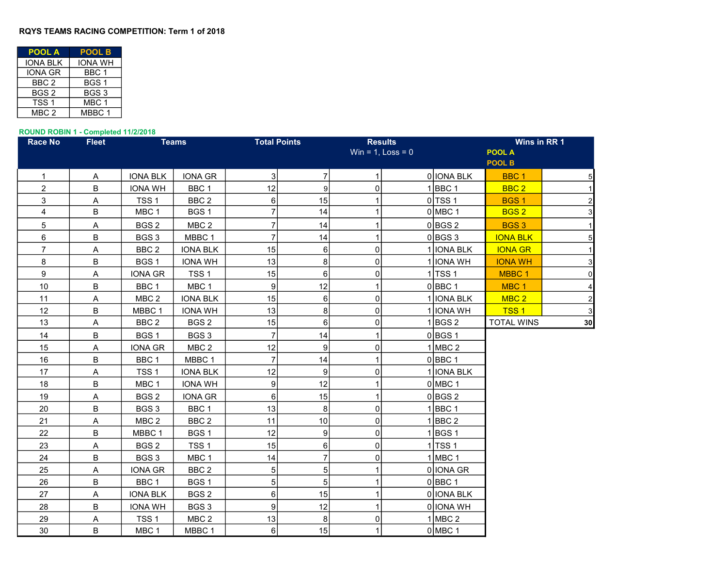## RQYS TEAMS RACING COMPETITION: Term 1 of 2018

| <b>POOL A</b>    | <b>POOL B</b>    |  |  |  |  |
|------------------|------------------|--|--|--|--|
| IONA BLK         | IONA WH          |  |  |  |  |
| <b>IONA GR</b>   | BBC 1            |  |  |  |  |
| BBC <sub>2</sub> | BGS <sub>1</sub> |  |  |  |  |
| BGS <sub>2</sub> | BGS3             |  |  |  |  |
| TSS <sub>1</sub> | MBC <sub>1</sub> |  |  |  |  |
| MBC 2            | MBBC 1           |  |  |  |  |

## ROUND ROBIN 1 - Completed 11/2/2018

| <b>Race No</b> | <b>Fleet</b> | <b>Teams</b>      |                  |                 | <b>Total Points</b> |                | <b>Results</b>         |             |                   | Wins in RR 1   |  |  |
|----------------|--------------|-------------------|------------------|-----------------|---------------------|----------------|------------------------|-------------|-------------------|----------------|--|--|
|                |              |                   |                  |                 |                     |                | Win = $1$ , Loss = $0$ |             | <b>POOL A</b>     |                |  |  |
|                |              |                   |                  |                 |                     |                |                        |             | POOL B            |                |  |  |
| $\mathbf{1}$   | A            | <b>IONA BLK</b>   | IONA GR          | $\mathbf{3}$    | $\overline{7}$      | 1              |                        | 0 IONA BLK  | BBC <sub>1</sub>  | 5              |  |  |
| $\overline{c}$ | B            | <b>IONA WH</b>    | BBC <sub>1</sub> | 12              | 9                   | 0              |                        | $1$ BBC 1   | BBC <sub>2</sub>  | $\mathbf{1}$   |  |  |
| 3              | Α            | TSS <sub>1</sub>  | BBC <sub>2</sub> | 6               | 15                  |                |                        | $0$ TSS 1   | <b>BGS1</b>       | $\mathbf 2$    |  |  |
| 4              | B            | MBC <sub>1</sub>  | BGS <sub>1</sub> | $\overline{7}$  | 14                  |                |                        | $0$ MBC 1   | BGS <sub>2</sub>  | 3              |  |  |
| 5              | Α            | BGS <sub>2</sub>  | MBC 2            | $\overline{7}$  | 14                  | 1              |                        | $0$ BGS 2   | <b>BGS3</b>       | $\mathbf{1}$   |  |  |
| 6              | B            | BGS3              | MBBC 1           | $\overline{7}$  | 14                  |                |                        | $0$ BGS 3   | <b>IONA BLK</b>   | 5              |  |  |
| $\overline{7}$ | A            | BBC <sub>2</sub>  | <b>IONA BLK</b>  | 15              | $6\phantom{1}$      | 0              |                        | 1 IONA BLK  | <b>IONA GR</b>    | $\mathbf{1}$   |  |  |
| 8              | B            | BGS <sub>1</sub>  | <b>IONA WH</b>   | 13              | 8                   | $\Omega$       |                        | 1 IONA WH   | <b>IONA WH</b>    | 3              |  |  |
| 9              | Α            | <b>IONA GR</b>    | TSS <sub>1</sub> | 15              | $6 \overline{6}$    | $\Omega$       |                        | $1$ TSS 1   | MBBC <sub>1</sub> | $\pmb{0}$      |  |  |
| 10             | B            | BBC <sub>1</sub>  | MBC <sub>1</sub> | 9               | 12                  |                |                        | $0$ BBC 1   | MBC <sub>1</sub>  | 4              |  |  |
| 11             | Α            | MBC 2             | <b>IONA BLK</b>  | 15              | $6\phantom{1}$      | 0              |                        | 1 IONA BLK  | MBC <sub>2</sub>  | $\overline{2}$ |  |  |
| 12             | B            | MBBC <sub>1</sub> | <b>IONA WH</b>   | 13              | $\bf{8}$            | $\overline{0}$ |                        | 1 IONA WH   | <b>TSS1</b>       | 3              |  |  |
| 13             | Α            | BBC <sub>2</sub>  | BGS <sub>2</sub> | 15              | $6 \mid$            | $\Omega$       |                        | $1$ BGS 2   | <b>TOTAL WINS</b> | 30             |  |  |
| 14             | B            | BGS <sub>1</sub>  | BGS <sub>3</sub> | $\overline{7}$  | 14                  |                |                        | $0$ BGS 1   |                   |                |  |  |
| 15             | Α            | <b>IONA GR</b>    | MBC <sub>2</sub> | 12              | 9                   | $\Omega$       |                        | $1$ MBC 2   |                   |                |  |  |
| 16             | B            | BBC <sub>1</sub>  | MBBC 1           | $\overline{7}$  | 14                  |                |                        | $0$ BBC 1   |                   |                |  |  |
| 17             | Α            | TSS <sub>1</sub>  | <b>IONA BLK</b>  | 12              | $\overline{9}$      | 0              |                        | 1 IONA BLK  |                   |                |  |  |
| 18             | В            | MBC <sub>1</sub>  | <b>IONA WH</b>   | 9               | 12                  |                |                        | $0$ MBC 1   |                   |                |  |  |
| 19             | A            | BGS <sub>2</sub>  | <b>IONA GR</b>   | 6               | 15                  |                |                        | $0$ BGS 2   |                   |                |  |  |
| 20             | B            | BGS <sub>3</sub>  | BBC 1            | 13              | 8                   | $\overline{0}$ |                        | $1$ BBC 1   |                   |                |  |  |
| 21             | Α            | MBC <sub>2</sub>  | BBC <sub>2</sub> | 11              | 10                  | 0              |                        | $1$ BBC 2   |                   |                |  |  |
| 22             | B            | MBBC 1            | BGS <sub>1</sub> | 12              | $\boldsymbol{9}$    | 0              |                        | $1$ BGS 1   |                   |                |  |  |
| 23             | Α            | BGS <sub>2</sub>  | TSS <sub>1</sub> | 15              | $6 \overline{6}$    | $\Omega$       |                        | $1$ TSS 1   |                   |                |  |  |
| 24             | B            | BGS <sub>3</sub>  | MBC <sub>1</sub> | 14              | $\overline{7}$      | $\Omega$       |                        | $1$ MBC $1$ |                   |                |  |  |
| 25             | Α            | <b>IONA GR</b>    | BBC <sub>2</sub> | 5               | $\overline{5}$      |                |                        | 0 IONA GR   |                   |                |  |  |
| 26             | B            | BBC <sub>1</sub>  | BGS <sub>1</sub> | 5               | $5\overline{)}$     |                |                        | $0$ BBC 1   |                   |                |  |  |
| 27             | A            | <b>IONA BLK</b>   | BGS <sub>2</sub> | $6\phantom{1}6$ | 15                  | $\mathbf{1}$   |                        | 0 IONA BLK  |                   |                |  |  |
| 28             | B            | <b>IONA WH</b>    | BGS 3            | 9               | 12                  | 1              |                        | 0 IONA WH   |                   |                |  |  |
| 29             | Α            | TSS <sub>1</sub>  | MBC <sub>2</sub> | 13              | 8                   | $\Omega$       |                        | $1$ MBC 2   |                   |                |  |  |
| 30             | B            | MBC <sub>1</sub>  | MBBC 1           | $\,6$           | 15                  | $\mathbf{1}$   |                        | $0$ MBC 1   |                   |                |  |  |